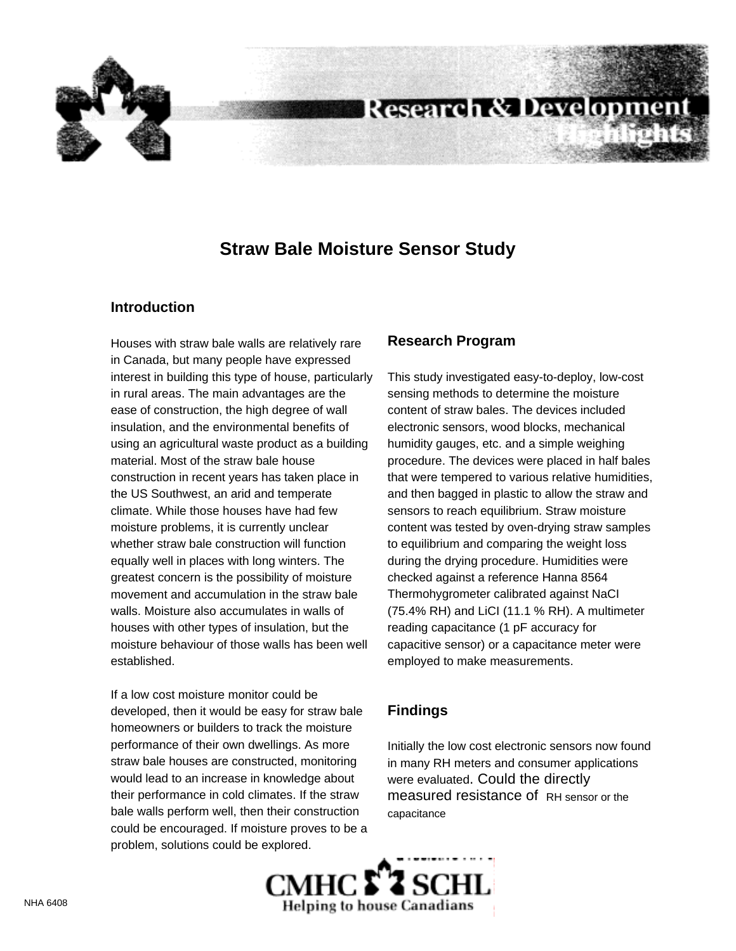

# **Research & Development**

## **Straw Bale Moisture Sensor Study**

#### **Introduction**

Houses with straw bale walls are relatively rare in Canada, but many people have expressed interest in building this type of house, particularly in rural areas. The main advantages are the ease of construction, the high degree of wall insulation, and the environmental benefits of using an agricultural waste product as a building material. Most of the straw bale house construction in recent years has taken place in the US Southwest, an arid and temperate climate. While those houses have had few moisture problems, it is currently unclear whether straw bale construction will function equally well in places with long winters. The greatest concern is the possibility of moisture movement and accumulation in the straw bale walls. Moisture also accumulates in walls of houses with other types of insulation, but the moisture behaviour of those walls has been well established.

If a low cost moisture monitor could be developed, then it would be easy for straw bale homeowners or builders to track the moisture performance of their own dwellings. As more straw bale houses are constructed, monitoring would lead to an increase in knowledge about their performance in cold climates. If the straw bale walls perform well, then their construction could be encouraged. If moisture proves to be a problem, solutions could be explored.

#### **Research Program**

This study investigated easy-to-deploy, low-cost sensing methods to determine the moisture content of straw bales. The devices included electronic sensors, wood blocks, mechanical humidity gauges, etc. and a simple weighing procedure. The devices were placed in half bales that were tempered to various relative humidities, and then bagged in plastic to allow the straw and sensors to reach equilibrium. Straw moisture content was tested by oven-drying straw samples to equilibrium and comparing the weight loss during the drying procedure. Humidities were checked against a reference Hanna 8564 Thermohygrometer calibrated against NaCI (75.4% RH) and LiCI (11.1 % RH). A multimeter reading capacitance (1 pF accuracy for capacitive sensor) or a capacitance meter were employed to make measurements.

### **Findings**

Initially the low cost electronic sensors now found in many RH meters and consumer applications were evaluated. Could the directly measured resistance of RH sensor or the capacitance

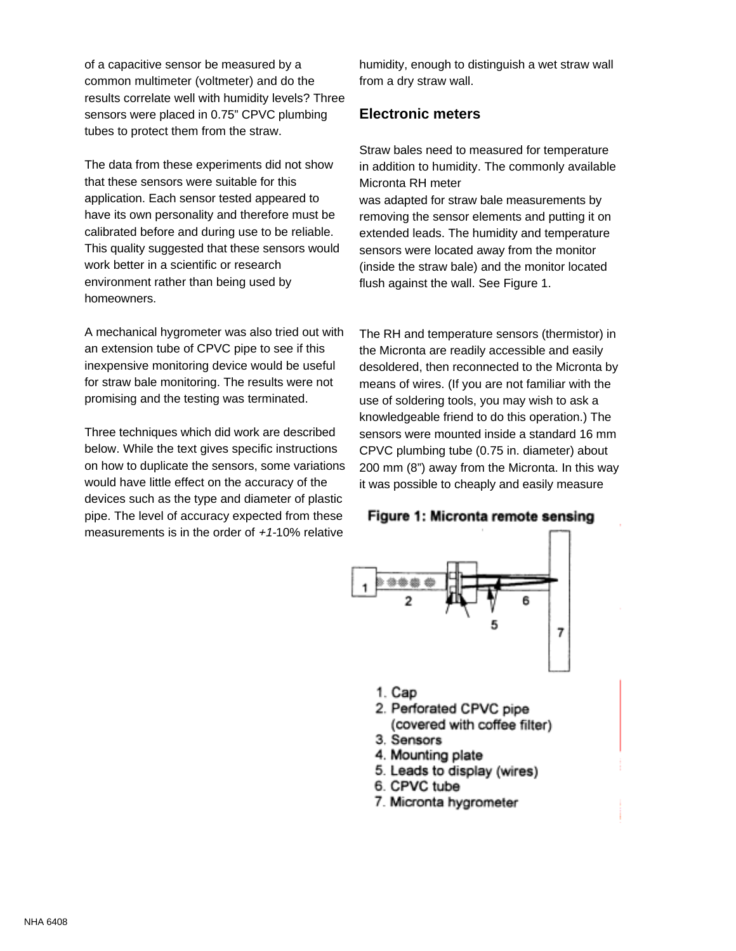of a capacitive sensor be measured by a common multimeter (voltmeter) and do the results correlate well with humidity levels? Three sensors were placed in 0.75" CPVC plumbing tubes to protect them from the straw.

The data from these experiments did not show that these sensors were suitable for this application. Each sensor tested appeared to have its own personality and therefore must be calibrated before and during use to be reliable. This quality suggested that these sensors would work better in a scientific or research environment rather than being used by homeowners.

A mechanical hygrometer was also tried out with an extension tube of CPVC pipe to see if this inexpensive monitoring device would be useful for straw bale monitoring. The results were not promising and the testing was terminated.

Three techniques which did work are described below. While the text gives specific instructions on how to duplicate the sensors, some variations would have little effect on the accuracy of the devices such as the type and diameter of plastic pipe. The level of accuracy expected from these measurements is in the order of  $+1-10\%$  relative

humidity, enough to distinguish a wet straw wall from a dry straw wall.

#### **Electronic meters**

Straw bales need to measured for temperature in addition to humidity. The commonly available Micronta RH meter

was adapted for straw bale measurements by removing the sensor elements and putting it on extended leads. The humidity and temperature sensors were located away from the monitor (inside the straw bale) and the monitor located flush against the wall. See Figure 1.

The RH and temperature sensors (thermistor) in the Micronta are readily accessible and easily desoldered, then reconnected to the Micronta by means of wires. (If you are not familiar with the use of soldering tools, you may wish to ask a knowledgeable friend to do this operation.) The sensors were mounted inside a standard 16 mm CPVC plumbing tube (0.75 in. diameter) about 200 mm (8") away from the Micronta. In this way it was possible to cheaply and easily measure





- 1. Cap
- 2. Perforated CPVC pipe
- (covered with coffee filter)
- 3. Sensors
- 4. Mounting plate
- 5. Leads to display (wires)
- 6. CPVC tube
- 7. Micronta hygrometer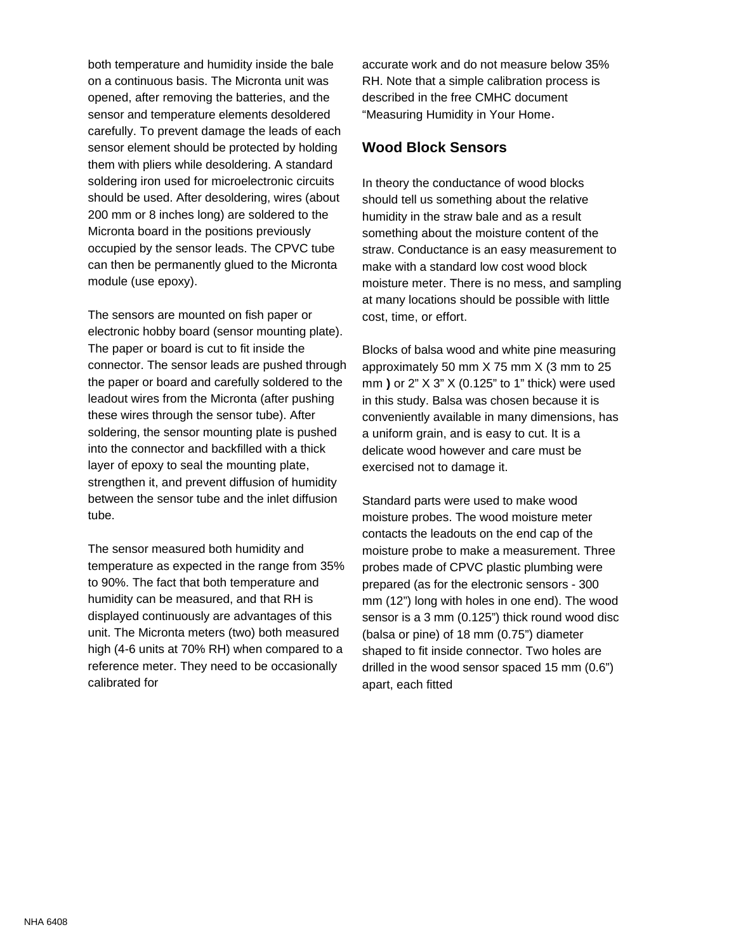both temperature and humidity inside the bale on a continuous basis. The Micronta unit was opened, after removing the batteries, and the sensor and temperature elements desoldered carefully. To prevent damage the leads of each sensor element should be protected by holding them with pliers while desoldering. A standard soldering iron used for microelectronic circuits should be used. After desoldering, wires (about 200 mm or 8 inches long) are soldered to the Micronta board in the positions previously occupied by the sensor leads. The CPVC tube can then be permanently glued to the Micronta module (use epoxy).

The sensors are mounted on fish paper or electronic hobby board (sensor mounting plate). The paper or board is cut to fit inside the connector. The sensor leads are pushed through the paper or board and carefully soldered to the leadout wires from the Micronta (after pushing these wires through the sensor tube). After soldering, the sensor mounting plate is pushed into the connector and backfilled with a thick layer of epoxy to seal the mounting plate, strengthen it, and prevent diffusion of humidity between the sensor tube and the inlet diffusion tube.

The sensor measured both humidity and temperature as expected in the range from 35% to 90%. The fact that both temperature and humidity can be measured, and that RH is displayed continuously are advantages of this unit. The Micronta meters (two) both measured high (4-6 units at 70% RH) when compared to a reference meter. They need to be occasionally calibrated for

accurate work and do not measure below 35% RH. Note that a simple calibration process is described in the free CMHC document "Measuring Humidity in Your Home.

### **Wood Block Sensors**

In theory the conductance of wood blocks should tell us something about the relative humidity in the straw bale and as a result something about the moisture content of the straw. Conductance is an easy measurement to make with a standard low cost wood block moisture meter. There is no mess, and sampling at many locations should be possible with little cost, time, or effort.

Blocks of balsa wood and white pine measuring approximately 50 mm X 75 mm X (3 mm to 25 mm **)** or 2" X 3" X (0.125" to 1" thick) were used in this study. Balsa was chosen because it is conveniently available in many dimensions, has a uniform grain, and is easy to cut. It is a delicate wood however and care must be exercised not to damage it.

Standard parts were used to make wood moisture probes. The wood moisture meter contacts the leadouts on the end cap of the moisture probe to make a measurement. Three probes made of CPVC plastic plumbing were prepared (as for the electronic sensors - 300 mm (12") long with holes in one end). The wood sensor is a 3 mm (0.125") thick round wood disc (balsa or pine) of 18 mm (0.75") diameter shaped to fit inside connector. Two holes are drilled in the wood sensor spaced 15 mm (0.6") apart, each fitted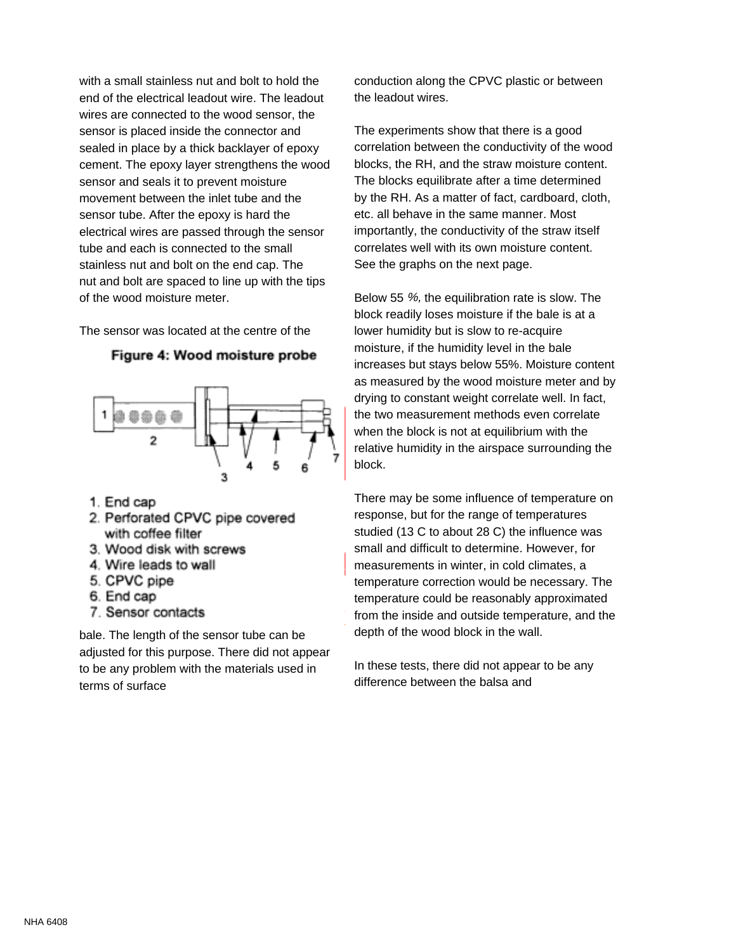with a small stainless nut and bolt to hold the end of the electrical leadout wire. The leadout wires are connected to the wood sensor, the sensor is placed inside the connector and sealed in place by a thick backlayer of epoxy cement. The epoxy layer strengthens the wood sensor and seals it to prevent moisture movement between the inlet tube and the sensor tube. After the epoxy is hard the electrical wires are passed through the sensor tube and each is connected to the small stainless nut and bolt on the end cap. The nut and bolt are spaced to line up with the tips of the wood moisture meter.

The sensor was located at the centre of the





- 1. End cap
- 2. Perforated CPVC pipe covered with coffee filter
- 3. Wood disk with screws
- 4. Wire leads to wall
- 5. CPVC pipe
- 6. End cap
- 7. Sensor contacts

bale. The length of the sensor tube can be adjusted for this purpose. There did not appear to be any problem with the materials used in terms of surface

conduction along the CPVC plastic or between the leadout wires.

The experiments show that there is a good correlation between the conductivity of the wood blocks, the RH, and the straw moisture content. The blocks equilibrate after a time determined by the RH. As a matter of fact, cardboard, cloth, etc. all behave in the same manner. Most importantly, the conductivity of the straw itself correlates well with its own moisture content. See the graphs on the next page.

Below 55 %, the equilibration rate is slow. The block readily loses moisture if the bale is at a lower humidity but is slow to re-acquire moisture, if the humidity level in the bale increases but stays below 55%. Moisture content as measured by the wood moisture meter and by drying to constant weight correlate well. In fact, the two measurement methods even correlate when the block is not at equilibrium with the relative humidity in the airspace surrounding the block.

There may be some influence of temperature on response, but for the range of temperatures studied (13 C to about 28 C) the influence was small and difficult to determine. However, for measurements in winter, in cold climates, a temperature correction would be necessary. The temperature could be reasonably approximated from the inside and outside temperature, and the depth of the wood block in the wall.

In these tests, there did not appear to be any difference between the balsa and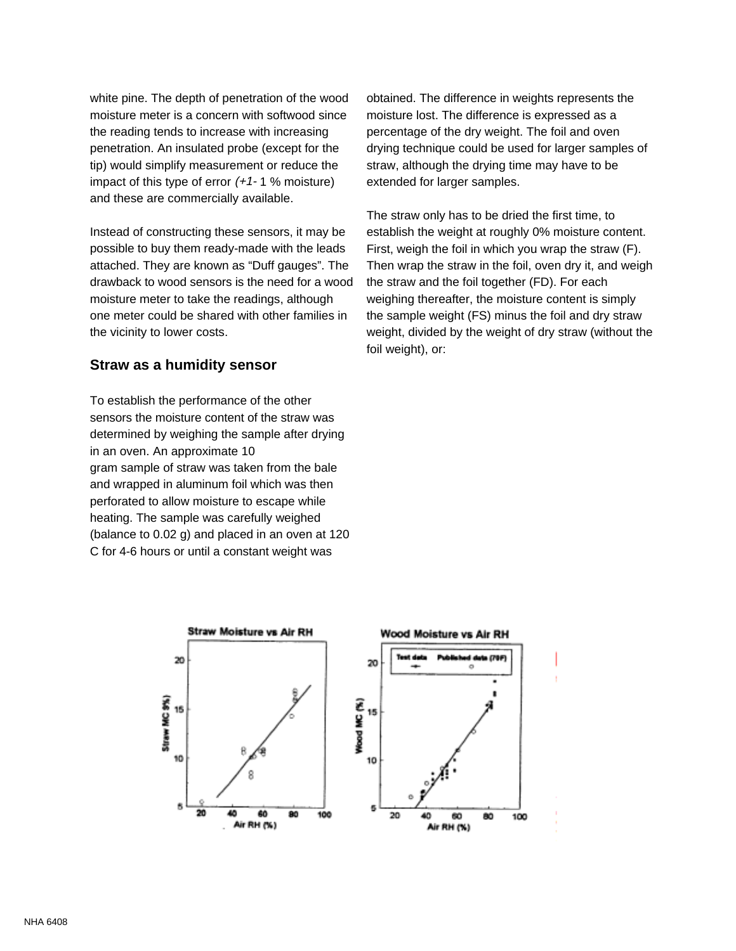white pine. The depth of penetration of the wood moisture meter is a concern with softwood since the reading tends to increase with increasing penetration. An insulated probe (except for the tip) would simplify measurement or reduce the impact of this type of error  $(+1)$ - 1 % moisture) and these are commercially available.

Instead of constructing these sensors, it may be possible to buy them ready-made with the leads attached. They are known as "Duff gauges". The drawback to wood sensors is the need for a wood moisture meter to take the readings, although one meter could be shared with other families in the vicinity to lower costs.

#### **Straw as a humidity sensor**

To establish the performance of the other sensors the moisture content of the straw was determined by weighing the sample after drying in an oven. An approximate 10 gram sample of straw was taken from the bale and wrapped in aluminum foil which was then perforated to allow moisture to escape while heating. The sample was carefully weighed (balance to 0.02 g) and placed in an oven at 120 C for 4-6 hours or until a constant weight was

obtained. The difference in weights represents the moisture lost. The difference is expressed as a percentage of the dry weight. The foil and oven drying technique could be used for larger samples of straw, although the drying time may have to be extended for larger samples.

The straw only has to be dried the first time, to establish the weight at roughly 0% moisture content. First, weigh the foil in which you wrap the straw (F). Then wrap the straw in the foil, oven dry it, and weigh the straw and the foil together (FD). For each weighing thereafter, the moisture content is simply the sample weight (FS) minus the foil and dry straw weight, divided by the weight of dry straw (without the foil weight), or: